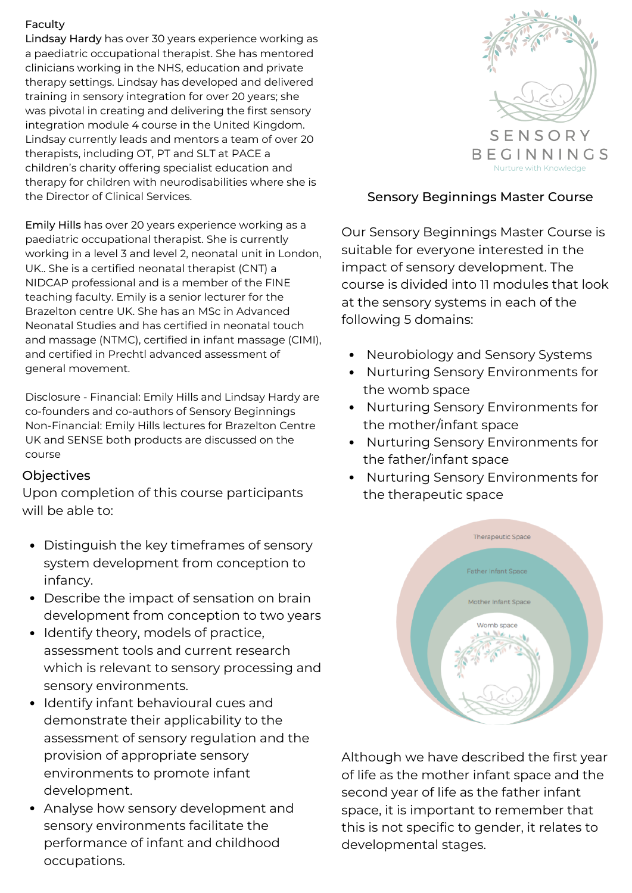## Faculty

Lindsay Hardy has over 30 years experience working as a paediatric occupational therapist. She has mentored clinicians working in the NHS, education and private therapy settings. Lindsay has developed and delivered training in sensory integration for over 20 years; she was pivotal in creating and delivering the first sensory integration module 4 course in the United Kingdom. Lindsay currently leads and mentors a team of over 20 therapists, including OT, PT and SLT at PACE a children's charity offering specialist education and therapy for children with neurodisabilities where she is the Director of Clinical Services.

Emily Hills has over 20 years experience working as a paediatric occupational therapist. She is currently working in a level 3 and level 2, neonatal unit in London, UK.. She is a certified neonatal therapist (CNT) a NIDCAP professional and is a member of the FINE teaching faculty. Emily is a senior lecturer for the Brazelton centre UK. She has an MSc in Advanced Neonatal Studies and has certified in neonatal touch and massage (NTMC), certified in infant massage (CIMI), and certified in Prechtl advanced assessment of general movement.

Disclosure - Financial: Emily Hills and Lindsay Hardy are co-founders and co-authors of Sensory Beginnings Non-Financial: Emily Hills lectures for Brazelton Centre UK and SENSE both products are discussed on the course

## **Objectives**

Upon completion of this course participants will be able to:

- Distinguish the key timeframes of sensory system development from conception to infancy.
- Describe the impact of sensation on brain development from conception to two years
- Identify theory, models of practice, assessment tools and current research which is relevant to sensory processing and sensory environments.
- Identify infant behavioural cues and demonstrate their applicability to the assessment of sensory regulation and the provision of appropriate sensory environments to promote infant development.
- Analyse how sensory development and sensory environments facilitate the performance of infant and childhood occupations.



## Sensory Beginnings Master Course

Our Sensory Beginnings Master Course is suitable for everyone interested in the impact of sensory development. The course is divided into 11 modules that look at the sensory systems in each of the following 5 domains:

- Neurobiology and Sensory Systems
- Nurturing Sensory Environments for the womb space
- Nurturing Sensory Environments for the mother/infant space
- Nurturing Sensory Environments for the father/infant space
- Nurturing Sensory Environments for the therapeutic space



Although we have described the first year of life as the mother infant space and the second year of life as the father infant space, it is important to remember that this is not specific to gender, it relates to developmental stages.